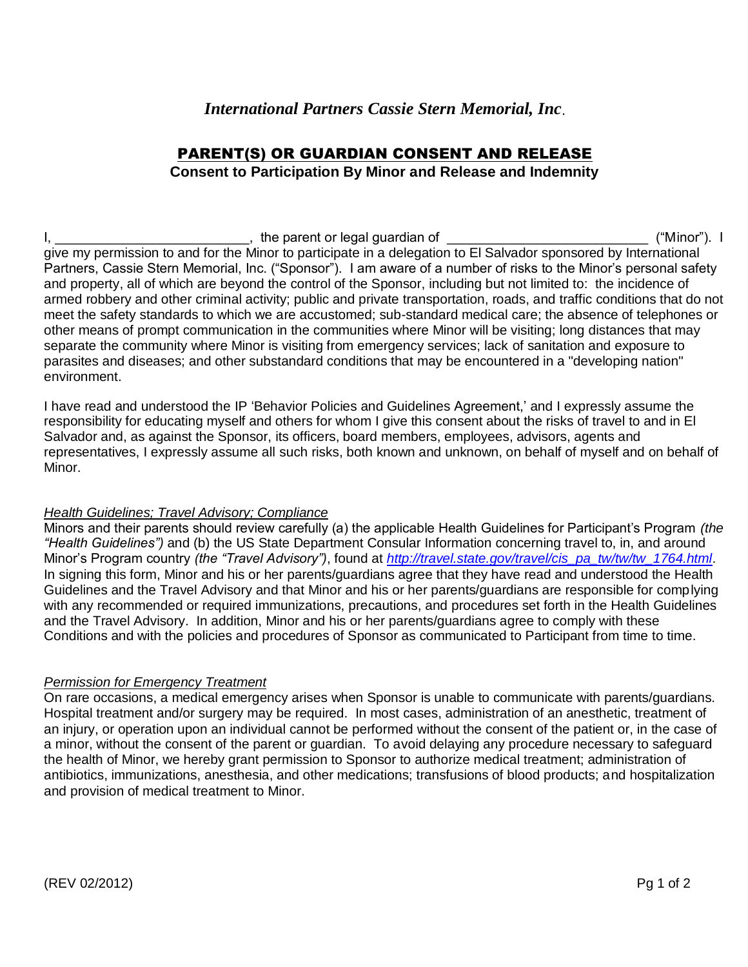# *International Partners Cassie Stern Memorial, Inc*.

# PARENT(S) OR GUARDIAN CONSENT AND RELEASE

### **Consent to Participation By Minor and Release and Indemnity**

I, \_\_\_\_\_\_\_\_\_\_\_\_\_\_\_\_\_\_\_\_\_\_\_\_\_\_, the parent or legal guardian of \_\_\_\_\_\_\_\_\_\_\_\_\_\_\_\_\_\_\_\_\_\_\_\_\_\_\_ ("Minor"). I give my permission to and for the Minor to participate in a delegation to El Salvador sponsored by International Partners, Cassie Stern Memorial, Inc. ("Sponsor"). I am aware of a number of risks to the Minor's personal safety and property, all of which are beyond the control of the Sponsor, including but not limited to: the incidence of armed robbery and other criminal activity; public and private transportation, roads, and traffic conditions that do not meet the safety standards to which we are accustomed; sub-standard medical care; the absence of telephones or other means of prompt communication in the communities where Minor will be visiting; long distances that may separate the community where Minor is visiting from emergency services; lack of sanitation and exposure to parasites and diseases; and other substandard conditions that may be encountered in a "developing nation" environment.

I have read and understood the IP 'Behavior Policies and Guidelines Agreement,' and I expressly assume the responsibility for educating myself and others for whom I give this consent about the risks of travel to and in El Salvador and, as against the Sponsor, its officers, board members, employees, advisors, agents and representatives, I expressly assume all such risks, both known and unknown, on behalf of myself and on behalf of Minor.

### *Health Guidelines; Travel Advisory; Compliance*

Minors and their parents should review carefully (a) the applicable Health Guidelines for Participant's Program *(the "Health Guidelines")* and (b) the US State Department Consular Information concerning travel to, in, and around Minor's Program country *(the "Travel Advisory")*, found at *[http://travel.state.gov/travel/cis\\_pa\\_tw/tw/tw\\_1764.html](http://travel.state.gov/travel/cis_pa_tw/tw/tw_1764.html)*. In signing this form, Minor and his or her parents/guardians agree that they have read and understood the Health Guidelines and the Travel Advisory and that Minor and his or her parents/guardians are responsible for complying with any recommended or required immunizations, precautions, and procedures set forth in the Health Guidelines and the Travel Advisory. In addition, Minor and his or her parents/guardians agree to comply with these Conditions and with the policies and procedures of Sponsor as communicated to Participant from time to time.

### *Permission for Emergency Treatment*

On rare occasions, a medical emergency arises when Sponsor is unable to communicate with parents/guardians. Hospital treatment and/or surgery may be required. In most cases, administration of an anesthetic, treatment of an injury, or operation upon an individual cannot be performed without the consent of the patient or, in the case of a minor, without the consent of the parent or guardian. To avoid delaying any procedure necessary to safeguard the health of Minor, we hereby grant permission to Sponsor to authorize medical treatment; administration of antibiotics, immunizations, anesthesia, and other medications; transfusions of blood products; and hospitalization and provision of medical treatment to Minor.